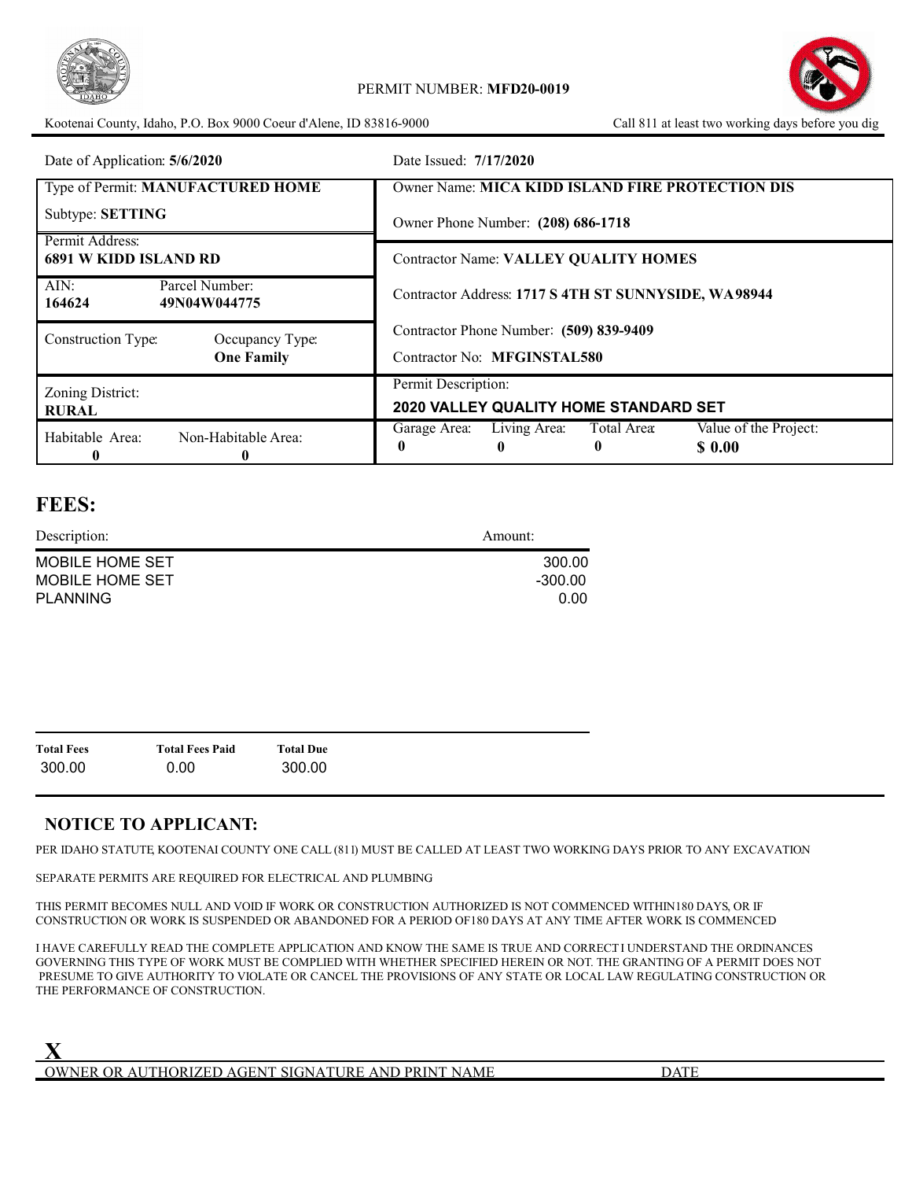

Kootenai County, Idaho, P.O. Box 9000 Coeur d'Alene, ID 83816-9000



| Date of Application: 5/6/2020                    | Date Issued: 7/17/2020                                                               |
|--------------------------------------------------|--------------------------------------------------------------------------------------|
| Type of Permit: MANUFACTURED HOME                | <b>Owner Name: MICA KIDD ISLAND FIRE PROTECTION DIS</b>                              |
| Subtype: SETTING                                 | Owner Phone Number: (208) 686-1718                                                   |
| Permit Address:<br><b>6891 W KIDD ISLAND RD</b>  | <b>Contractor Name: VALLEY QUALITY HOMES</b>                                         |
| AIN:<br>Parcel Number:<br>164624<br>49N04W044775 | Contractor Address: 1717 S 4TH ST SUNNYSIDE, WA98944                                 |
| Construction Type:<br>Occupancy Type:            | Contractor Phone Number: (509) 839-9409                                              |
| <b>One Family</b>                                | Contractor No: MFGINSTAL580                                                          |
| Zoning District:                                 | Permit Description:                                                                  |
| <b>RURAL</b>                                     | 2020 VALLEY QUALITY HOME STANDARD SET                                                |
| Habitable Area:<br>Non-Habitable Area:<br>0<br>0 | Value of the Project:<br>Living Area:<br>Total Area:<br>Garage Area:<br>\$ 0.00<br>0 |

# **FEES:**

| Description:    | Amount: |
|-----------------|---------|
| MOBILE HOME SET | 300.00  |
| MOBILE HOME SET | -300.00 |
| <b>PLANNING</b> | 0.00    |

| <b>Total Fees</b> | <b>Total Fees Paid</b> | <b>Total Due</b> |
|-------------------|------------------------|------------------|
| 300.00            | 0.00                   | 300.00           |

# **NOTICE TO APPLICANT:**

PER IDAHO STATUTE, KOOTENAI COUNTY ONE CALL (811) MUST BE CALLED AT LEAST TWO WORKING DAYS PRIOR TO ANY EXCAVATION.

SEPARATE PERMITS ARE REQUIRED FOR ELECTRICAL AND PLUMBING.

THIS PERMIT BECOMES NULL AND VOID IF WORK OR CONSTRUCTION AUTHORIZED IS NOT COMMENCED WITHIN180 DAYS, OR IF CONSTRUCTION OR WORK IS SUSPENDED OR ABANDONED FOR A PERIOD OF180 DAYS AT ANY TIME AFTER WORK IS COMMENCED.

I HAVE CAREFULLY READ THE COMPLETE APPLICATION AND KNOW THE SAME IS TRUE AND CORRECTI UNDERSTAND THE ORDINANCES GOVERNING THIS TYPE OF WORK MUST BE COMPLIED WITH WHETHER SPECIFIED HEREIN OR NOT. THE GRANTING OF A PERMIT DOES NOT PRESUME TO GIVE AUTHORITY TO VIOLATE OR CANCEL THE PROVISIONS OF ANY STATE OR LOCAL LAW REGULATING CONSTRUCTION OR THE PERFORMANCE OF CONSTRUCTION.